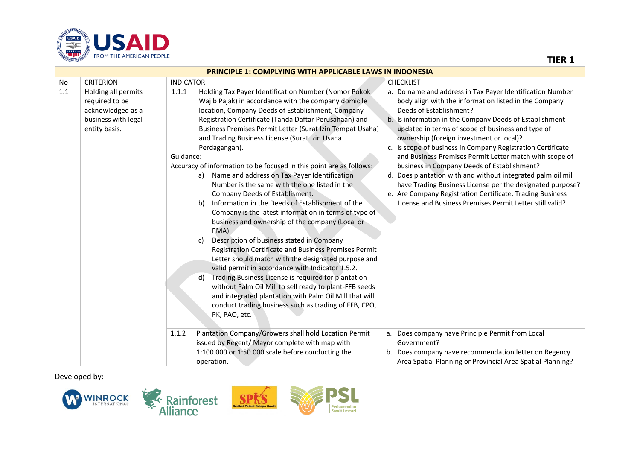

|     | <b>PRINCIPLE 1: COMPLYING WITH APPLICABLE LAWS IN INDONESIA</b>                                    |                                                                                                                                                                                                                                                                                                                                                                                                                                                                                                                                                                                                                                                                                                                                                                                                                                                                                                                                                                                                                                                                                                                                                                                                                                                                                                                                                                                                                                                                                                                                                                                                                                                                                                                                                                                                                                                                                                                                                                                                                |  |  |
|-----|----------------------------------------------------------------------------------------------------|----------------------------------------------------------------------------------------------------------------------------------------------------------------------------------------------------------------------------------------------------------------------------------------------------------------------------------------------------------------------------------------------------------------------------------------------------------------------------------------------------------------------------------------------------------------------------------------------------------------------------------------------------------------------------------------------------------------------------------------------------------------------------------------------------------------------------------------------------------------------------------------------------------------------------------------------------------------------------------------------------------------------------------------------------------------------------------------------------------------------------------------------------------------------------------------------------------------------------------------------------------------------------------------------------------------------------------------------------------------------------------------------------------------------------------------------------------------------------------------------------------------------------------------------------------------------------------------------------------------------------------------------------------------------------------------------------------------------------------------------------------------------------------------------------------------------------------------------------------------------------------------------------------------------------------------------------------------------------------------------------------------|--|--|
| No  | <b>CRITERION</b>                                                                                   | <b>INDICATOR</b><br><b>CHECKLIST</b>                                                                                                                                                                                                                                                                                                                                                                                                                                                                                                                                                                                                                                                                                                                                                                                                                                                                                                                                                                                                                                                                                                                                                                                                                                                                                                                                                                                                                                                                                                                                                                                                                                                                                                                                                                                                                                                                                                                                                                           |  |  |
| 1.1 | Holding all permits<br>required to be<br>acknowledged as a<br>business with legal<br>entity basis. | Holding Tax Payer Identification Number (Nomor Pokok<br>a. Do name and address in Tax Payer Identification Number<br>1.1.1<br>Wajib Pajak) in accordance with the company domicile<br>body align with the information listed in the Company<br>Deeds of Establishment?<br>location, Company Deeds of Establishment, Company<br>b. Is information in the Company Deeds of Establishment<br>Registration Certificate (Tanda Daftar Perusahaan) and<br>Business Premises Permit Letter (Surat Izin Tempat Usaha)<br>updated in terms of scope of business and type of<br>and Trading Business License (Surat Izin Usaha<br>ownership (foreign investment or local)?<br>c. Is scope of business in Company Registration Certificate<br>Perdagangan).<br>Guidance:<br>and Business Premises Permit Letter match with scope of<br>Accuracy of information to be focused in this point are as follows:<br>business in Company Deeds of Establishment?<br>Name and address on Tax Payer Identification<br>d. Does plantation with and without integrated palm oil mill<br>a)<br>Number is the same with the one listed in the<br>have Trading Business License per the designated purpose?<br>Company Deeds of Establisment.<br>e. Are Company Registration Certificate, Trading Business<br>Information in the Deeds of Establishment of the<br>License and Business Premises Permit Letter still valid?<br>b)<br>Company is the latest information in terms of type of<br>business and ownership of the company (Local or<br>PMA).<br>Description of business stated in Company<br>C)<br>Registration Certificate and Business Premises Permit<br>Letter should match with the designated purpose and<br>valid permit in accordance with Indicator 1.5.2.<br>Trading Business License is required for plantation<br>d)<br>without Palm Oil Mill to sell ready to plant-FFB seeds<br>and integrated plantation with Palm Oil Mill that will<br>conduct trading business such as trading of FFB, CPO,<br>PK, PAO, etc. |  |  |
|     |                                                                                                    | Plantation Company/Growers shall hold Location Permit<br>1.1.2<br>a. Does company have Principle Permit from Local<br>issued by Regent/ Mayor complete with map with<br>Government?<br>1:100.000 or 1:50.000 scale before conducting the<br>b. Does company have recommendation letter on Regency<br>Area Spatial Planning or Provincial Area Spatial Planning?<br>operation.                                                                                                                                                                                                                                                                                                                                                                                                                                                                                                                                                                                                                                                                                                                                                                                                                                                                                                                                                                                                                                                                                                                                                                                                                                                                                                                                                                                                                                                                                                                                                                                                                                  |  |  |

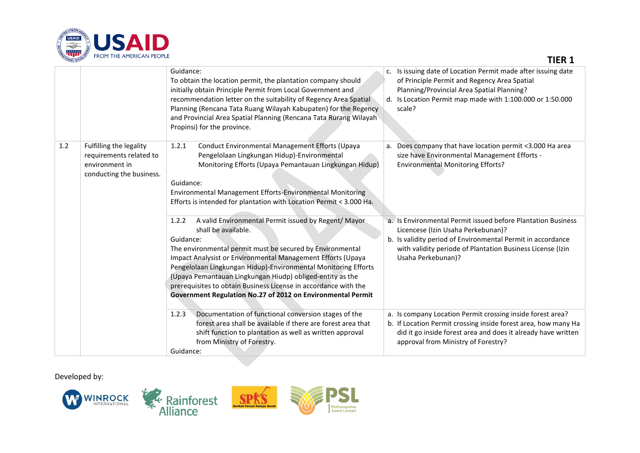

| <b>TIONAL DEVEL</b><br><b>TROPEITE APIENICAIN FEOFLE</b> |                                                                                                  |                                                                                                                                                                                                                                                                                                                                                                                                                                                                                                | <b>TIER 1</b>                                                                                                                                                                                                                                         |  |
|----------------------------------------------------------|--------------------------------------------------------------------------------------------------|------------------------------------------------------------------------------------------------------------------------------------------------------------------------------------------------------------------------------------------------------------------------------------------------------------------------------------------------------------------------------------------------------------------------------------------------------------------------------------------------|-------------------------------------------------------------------------------------------------------------------------------------------------------------------------------------------------------------------------------------------------------|--|
|                                                          |                                                                                                  | Guidance:<br>To obtain the location permit, the plantation company should<br>initially obtain Principle Permit from Local Government and<br>recommendation letter on the suitability of Regency Area Spatial<br>Planning (Rencana Tata Ruang Wilayah Kabupaten) for the Regency<br>and Provincial Area Spatial Planning (Rencana Tata Rurang Wilayah<br>Propinsi) for the province.                                                                                                            | Is issuing date of Location Permit made after issuing date<br>c.<br>of Principle Permit and Regency Area Spatial<br>Planning/Provincial Area Spatial Planning?<br>d. Is Location Permit map made with 1:100.000 or 1:50.000<br>scale?                 |  |
| 1.2                                                      | Fulfilling the legality<br>requirements related to<br>environment in<br>conducting the business. | Conduct Environmental Management Efforts (Upaya<br>1.2.1<br>Pengelolaan Lingkungan Hidup)-Environmental<br>Monitoring Efforts (Upaya Pemantauan Lingkungan Hidup)<br>Guidance:<br>Environmental Management Efforts-Environmental Monitoring<br>Efforts is intended for plantation with Location Permit < 3.000 Ha.                                                                                                                                                                             | Does company that have location permit <3.000 Ha area<br>a.<br>size have Environmental Management Efforts -<br><b>Environmental Monitoring Efforts?</b>                                                                                               |  |
|                                                          |                                                                                                  | A valid Environmental Permit issued by Regent/ Mayor<br>1.2.2<br>shall be available.<br>Guidance:<br>The environmental permit must be secured by Environmental<br>Impact Analysist or Environmental Management Efforts (Upaya<br>Pengelolaan Lingkungan Hidup)-Environmental Monitoring Efforts<br>(Upaya Pemantauan Lingkungan Hiudp) obliged-entity as the<br>prerequisites to obtain Business License in accordance with the<br>Government Regulation No.27 of 2012 on Environmental Permit | a. Is Environmental Permit issued before Plantation Business<br>Licencese (Izin Usaha Perkebunan)?<br>b. Is validity period of Environmental Permit in accordance<br>with validity periode of Plantation Business License (Izin<br>Usaha Perkebunan)? |  |
|                                                          |                                                                                                  | Documentation of functional conversion stages of the<br>1.2.3<br>forest area shall be available if there are forest area that<br>shift function to plantation as well as written approval<br>from Ministry of Forestry.<br>Guidance:                                                                                                                                                                                                                                                           | a. Is company Location Permit crossing inside forest area?<br>b. If Location Permit crossing inside forest area, how many Ha<br>did it go inside forest area and does it already have written<br>approval from Ministry of Forestry?                  |  |

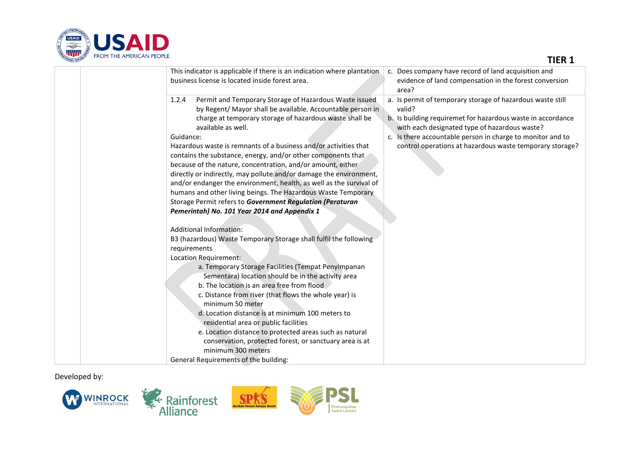

| This indicator is applicable if there is an indication where plantation.                                                                                                                                                                                                                                                                                                                                                                                                                                                                                                                                                                                                                                   | c. Does company have record of land acquisition and                                                                                                                                                                                                                                                            |
|------------------------------------------------------------------------------------------------------------------------------------------------------------------------------------------------------------------------------------------------------------------------------------------------------------------------------------------------------------------------------------------------------------------------------------------------------------------------------------------------------------------------------------------------------------------------------------------------------------------------------------------------------------------------------------------------------------|----------------------------------------------------------------------------------------------------------------------------------------------------------------------------------------------------------------------------------------------------------------------------------------------------------------|
| business license is located inside forest area.                                                                                                                                                                                                                                                                                                                                                                                                                                                                                                                                                                                                                                                            | evidence of land compensation in the forest conversion<br>area?                                                                                                                                                                                                                                                |
| Permit and Temporary Storage of Hazardous Waste issued<br>1.2.4<br>by Regent/ Mayor shall be available. Accountable person in<br>charge at temporary storage of hazardous waste shall be<br>available as well.<br>Guidance:<br>Hazardous waste is remnants of a business and/or activities that<br>contains the substance, energy, and/or other components that<br>because of the nature, concentration, and/or amount, either<br>directly or indirectly, may pollute and/or damage the environment,<br>and/or endanger the environment, health, as well as the survival of<br>humans and other living beings. The Hazardous Waste Temporary<br>Ctorogo Dormit refere to Coveragent Desirletion (Devetures | a. Is permit of temporary storage of hazardous waste still<br>valid?<br>b. Is building requiremet for hazardous waste in accordance<br>with each designated type of hazardous waste?<br>c. Is there accountable person in charge to monitor and to<br>control operations at hazardous waste temporary storage? |

| business license is located inside forest area.                                                                                                                                                                                                                                                                                                                                                                                                                                                                                                                                                                                                                                                           | evidence of land compensation in the forest conversion<br>area?                                                                                                                                                                                                                                              |
|-----------------------------------------------------------------------------------------------------------------------------------------------------------------------------------------------------------------------------------------------------------------------------------------------------------------------------------------------------------------------------------------------------------------------------------------------------------------------------------------------------------------------------------------------------------------------------------------------------------------------------------------------------------------------------------------------------------|--------------------------------------------------------------------------------------------------------------------------------------------------------------------------------------------------------------------------------------------------------------------------------------------------------------|
| Permit and Temporary Storage of Hazardous Waste issued<br>1.2.4<br>by Regent/ Mayor shall be available. Accountable person in<br>charge at temporary storage of hazardous waste shall be<br>available as well.<br>Guidance:<br>Hazardous waste is remnants of a business and/or activities that<br>contains the substance, energy, and/or other components that<br>because of the nature, concentration, and/or amount, either<br>directly or indirectly, may pollute and/or damage the environment,<br>and/or endanger the environment, health, as well as the survival of<br>humans and other living beings. The Hazardous Waste Temporary<br>Storage Permit refers to Government Regulation (Peraturan | a. Is permit of temporary storage of hazardous waste still<br>valid?<br>b. Is building requiremet for hazardous waste in accordance<br>with each designated type of hazardous waste?<br>c. Is there accountable person in charge to monitor and to<br>control operations at hazardous waste temporary storag |
| Pemerintah) No. 101 Year 2014 and Appendix 1                                                                                                                                                                                                                                                                                                                                                                                                                                                                                                                                                                                                                                                              |                                                                                                                                                                                                                                                                                                              |
| <b>Additional Information:</b>                                                                                                                                                                                                                                                                                                                                                                                                                                                                                                                                                                                                                                                                            |                                                                                                                                                                                                                                                                                                              |
| B3 (hazardous) Waste Temporary Storage shall fulfil the following<br>requirements                                                                                                                                                                                                                                                                                                                                                                                                                                                                                                                                                                                                                         |                                                                                                                                                                                                                                                                                                              |
| Location Requirement:                                                                                                                                                                                                                                                                                                                                                                                                                                                                                                                                                                                                                                                                                     |                                                                                                                                                                                                                                                                                                              |
| a. Temporary Storage Facilities (Tempat Penyimpanan                                                                                                                                                                                                                                                                                                                                                                                                                                                                                                                                                                                                                                                       |                                                                                                                                                                                                                                                                                                              |
| Sementara) location should be in the activity area                                                                                                                                                                                                                                                                                                                                                                                                                                                                                                                                                                                                                                                        |                                                                                                                                                                                                                                                                                                              |
| b. The location is an area free from flood                                                                                                                                                                                                                                                                                                                                                                                                                                                                                                                                                                                                                                                                |                                                                                                                                                                                                                                                                                                              |
| c. Distance from river (that flows the whole year) is                                                                                                                                                                                                                                                                                                                                                                                                                                                                                                                                                                                                                                                     |                                                                                                                                                                                                                                                                                                              |
| minimum 50 meter                                                                                                                                                                                                                                                                                                                                                                                                                                                                                                                                                                                                                                                                                          |                                                                                                                                                                                                                                                                                                              |
| d. Location distance is at minimum 100 meters to<br>residential area or public facilities                                                                                                                                                                                                                                                                                                                                                                                                                                                                                                                                                                                                                 |                                                                                                                                                                                                                                                                                                              |
| e. Location distance to protected areas such as natural                                                                                                                                                                                                                                                                                                                                                                                                                                                                                                                                                                                                                                                   |                                                                                                                                                                                                                                                                                                              |
| conservation, protected forest, or sanctuary area is at                                                                                                                                                                                                                                                                                                                                                                                                                                                                                                                                                                                                                                                   |                                                                                                                                                                                                                                                                                                              |
| minimum 300 meters                                                                                                                                                                                                                                                                                                                                                                                                                                                                                                                                                                                                                                                                                        |                                                                                                                                                                                                                                                                                                              |
| General Requirements of the building:                                                                                                                                                                                                                                                                                                                                                                                                                                                                                                                                                                                                                                                                     |                                                                                                                                                                                                                                                                                                              |

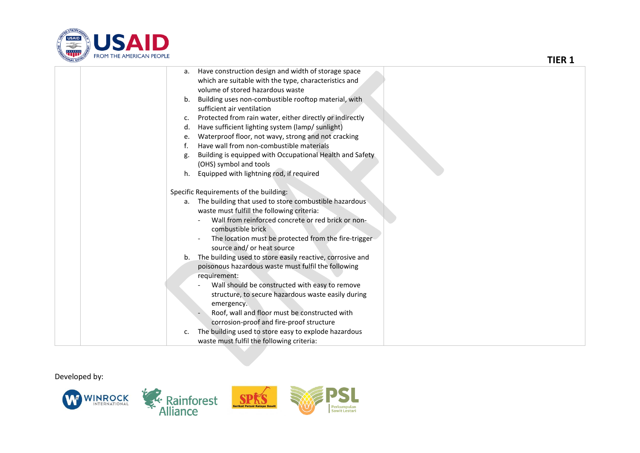

| <b>THONAL DEVEL</b> | <b>TNOPE THE APIENIUALY FEUFLE</b>                                                                                                                                                                                                                                                                                                                                                                                                                                                                                                                                                                                                                                                                                                                                                     | <b>TIER 1</b> |
|---------------------|----------------------------------------------------------------------------------------------------------------------------------------------------------------------------------------------------------------------------------------------------------------------------------------------------------------------------------------------------------------------------------------------------------------------------------------------------------------------------------------------------------------------------------------------------------------------------------------------------------------------------------------------------------------------------------------------------------------------------------------------------------------------------------------|---------------|
|                     | a. Have construction design and width of storage space<br>which are suitable with the type, characteristics and<br>volume of stored hazardous waste<br>Building uses non-combustible rooftop material, with<br>b.<br>sufficient air ventilation<br>Protected from rain water, either directly or indirectly<br>c.                                                                                                                                                                                                                                                                                                                                                                                                                                                                      |               |
|                     | Have sufficient lighting system (lamp/ sunlight)<br>d.<br>Waterproof floor, not wavy, strong and not cracking<br>e.<br>Have wall from non-combustible materials<br>f.<br>Building is equipped with Occupational Health and Safety<br>g.<br>(OHS) symbol and tools<br>Equipped with lightning rod, if required<br>h.                                                                                                                                                                                                                                                                                                                                                                                                                                                                    |               |
|                     | Specific Requirements of the building:<br>a. The building that used to store combustible hazardous<br>waste must fulfill the following criteria:<br>Wall from reinforced concrete or red brick or non-<br>combustible brick<br>The location must be protected from the fire-trigger<br>source and/ or heat source<br>b. The building used to store easily reactive, corrosive and<br>poisonous hazardous waste must fulfil the following<br>requirement:<br>Wall should be constructed with easy to remove<br>structure, to secure hazardous waste easily during<br>emergency.<br>Roof, wall and floor must be constructed with<br>corrosion-proof and fire-proof structure<br>The building used to store easy to explode hazardous<br>c.<br>waste must fulfil the following criteria: |               |

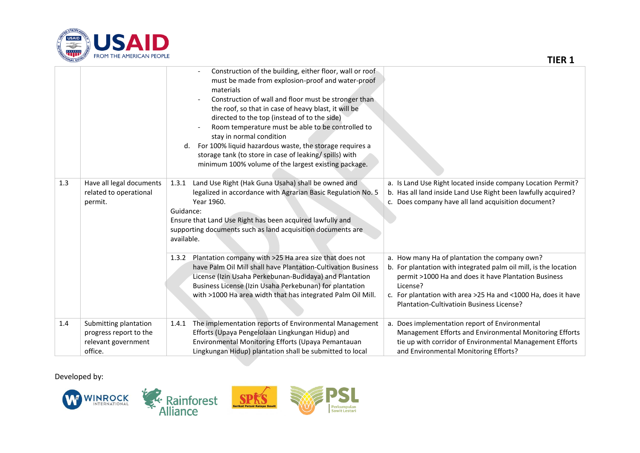

|     |                                                                                   | Construction of the building, either floor, wall or roof<br>must be made from explosion-proof and water-proof<br>materials<br>Construction of wall and floor must be stronger than<br>the roof, so that in case of heavy blast, it will be<br>directed to the top (instead of to the side)<br>Room temperature must be able to be controlled to<br>stay in normal condition<br>For 100% liquid hazardous waste, the storage requires a<br>d.<br>storage tank (to store in case of leaking/spills) with<br>minimum 100% volume of the largest existing package. |                                                                                                                                                                                                                                                                                                     |
|-----|-----------------------------------------------------------------------------------|----------------------------------------------------------------------------------------------------------------------------------------------------------------------------------------------------------------------------------------------------------------------------------------------------------------------------------------------------------------------------------------------------------------------------------------------------------------------------------------------------------------------------------------------------------------|-----------------------------------------------------------------------------------------------------------------------------------------------------------------------------------------------------------------------------------------------------------------------------------------------------|
| 1.3 | Have all legal documents<br>related to operational<br>permit.                     | 1.3.1 Land Use Right (Hak Guna Usaha) shall be owned and<br>legalized in accordance with Agrarian Basic Regulation No. 5<br>Year 1960.<br>Guidance:<br>Ensure that Land Use Right has been acquired lawfully and<br>supporting documents such as land acquisition documents are<br>available.                                                                                                                                                                                                                                                                  | a. Is Land Use Right located inside company Location Permit?<br>b. Has all land inside Land Use Right been lawfully acquired?<br>c. Does company have all land acquisition document?                                                                                                                |
|     |                                                                                   | 1.3.2 Plantation company with >25 Ha area size that does not<br>have Palm Oil Mill shall have Plantation-Cultivation Business<br>License (Izin Usaha Perkebunan-Budidaya) and Plantation<br>Business License (Izin Usaha Perkebunan) for plantation<br>with >1000 Ha area width that has integrated Palm Oil Mill.                                                                                                                                                                                                                                             | a. How many Ha of plantation the company own?<br>b. For plantation with integrated palm oil mill, is the location<br>permit >1000 Ha and does it have Plantation Business<br>License?<br>c. For plantation with area >25 Ha and <1000 Ha, does it have<br>Plantation-Cultivatioin Business License? |
| 1.4 | Submitting plantation<br>progress report to the<br>relevant government<br>office. | The implementation reports of Environmental Management<br>1.4.1<br>Efforts (Upaya Pengelolaan Lingkungan Hidup) and<br>Environmental Monitoring Efforts (Upaya Pemantauan<br>Lingkungan Hidup) plantation shall be submitted to local                                                                                                                                                                                                                                                                                                                          | a. Does implementation report of Environmental<br>Management Efforts and Environmental Monitoring Efforts<br>tie up with corridor of Environmental Management Efforts<br>and Environmental Monitoring Efforts?                                                                                      |

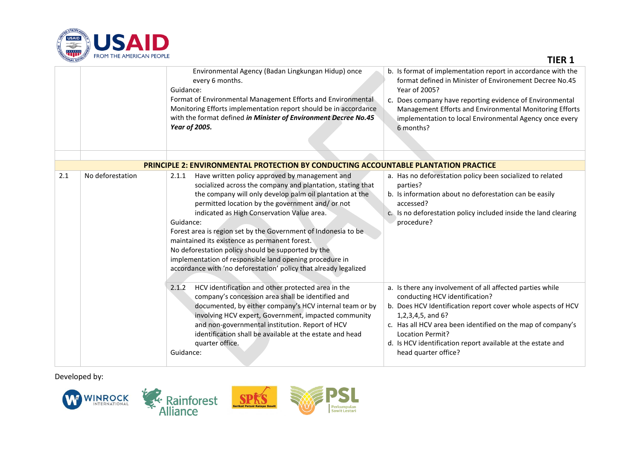

| <b>ATIONAL DEVEL</b> | <b>TRUPLIFIE APENICAIN FEUFLE</b> |                                                                                                                                                                                                                                                                                                                                                                                                                                                                                                                                                                                                         | <b>TIER 1</b>                                                                                                                                                                                                                                                                                                                                                     |
|----------------------|-----------------------------------|---------------------------------------------------------------------------------------------------------------------------------------------------------------------------------------------------------------------------------------------------------------------------------------------------------------------------------------------------------------------------------------------------------------------------------------------------------------------------------------------------------------------------------------------------------------------------------------------------------|-------------------------------------------------------------------------------------------------------------------------------------------------------------------------------------------------------------------------------------------------------------------------------------------------------------------------------------------------------------------|
|                      |                                   | Environmental Agency (Badan Lingkungan Hidup) once<br>every 6 months.<br>Guidance:<br>Format of Environmental Management Efforts and Environmental<br>Monitoring Efforts implementation report should be in accordance<br>with the format defined in Minister of Environment Decree No.45<br>Year of 2005.                                                                                                                                                                                                                                                                                              | b. Is format of implementation report in accordance with the<br>format defined in Minister of Environement Decree No.45<br>Year of 2005?<br>c. Does company have reporting evidence of Environmental<br>Management Efforts and Environmental Monitoring Efforts<br>implementation to local Environmental Agency once every<br>6 months?                           |
|                      |                                   | <b>PRINCIPLE 2: ENVIRONMENTAL PROTECTION BY CONDUCTING ACCOUNTABLE PLANTATION PRACTICE</b>                                                                                                                                                                                                                                                                                                                                                                                                                                                                                                              |                                                                                                                                                                                                                                                                                                                                                                   |
| 2.1                  | No deforestation                  | Have written policy approved by management and<br>2.1.1<br>socialized across the company and plantation, stating that<br>the company will only develop palm oil plantation at the<br>permitted location by the government and/or not<br>indicated as High Conservation Value area.<br>Guidance:<br>Forest area is region set by the Government of Indonesia to be<br>maintained its existence as permanent forest.<br>No deforestation policy should be supported by the<br>implementation of responsible land opening procedure in<br>accordance with 'no deforestation' policy that already legalized | a. Has no deforestation policy been socialized to related<br>parties?<br>b. Is information about no deforestation can be easily<br>accessed?<br>c. Is no deforestation policy included inside the land clearing<br>procedure?                                                                                                                                     |
|                      |                                   | HCV identification and other protected area in the<br>2.1.2<br>company's concession area shall be identified and<br>documented, by either company's HCV internal team or by<br>involving HCV expert, Government, impacted community<br>and non-governmental institution. Report of HCV<br>identification shall be available at the estate and head<br>quarter office.<br>Guidance:                                                                                                                                                                                                                      | a. Is there any involvement of all affected parties while<br>conducting HCV identification?<br>b. Does HCV Identification report cover whole aspects of HCV<br>1,2,3,4,5, and 6?<br>c. Has all HCV area been identified on the map of company's<br><b>Location Permit?</b><br>d. Is HCV identification report available at the estate and<br>head quarter office? |

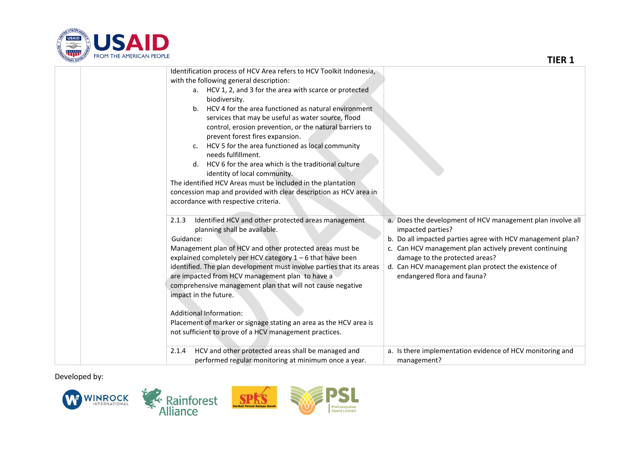

| <b>ATIONAL DEVEL</b><br><b>TROPE THE APIENICATY FEOFLE</b> |                                                                                                                                                                                                                                                                                                                                                                                                                                                                                                                                                                                                                                                                                                                                                               | <b>TIER 1</b>                                                                                                                                                                                                                                                                                                                   |
|------------------------------------------------------------|---------------------------------------------------------------------------------------------------------------------------------------------------------------------------------------------------------------------------------------------------------------------------------------------------------------------------------------------------------------------------------------------------------------------------------------------------------------------------------------------------------------------------------------------------------------------------------------------------------------------------------------------------------------------------------------------------------------------------------------------------------------|---------------------------------------------------------------------------------------------------------------------------------------------------------------------------------------------------------------------------------------------------------------------------------------------------------------------------------|
|                                                            | Identification process of HCV Area refers to HCV Toolkit Indonesia,<br>with the following general description:<br>a. HCV 1, 2, and 3 for the area with scarce or protected<br>biodiversity.<br>b. HCV 4 for the area functioned as natural environment<br>services that may be useful as water source, flood<br>control, erosion prevention, or the natural barriers to<br>prevent forest fires expansion.<br>c. HCV 5 for the area functioned as local community<br>needs fulfillment.<br>d. HCV 6 for the area which is the traditional culture<br>identity of local community.<br>The identified HCV Areas must be included in the plantation<br>concession map and provided with clear description as HCV area in<br>accordance with respective criteria. |                                                                                                                                                                                                                                                                                                                                 |
| 2.1.3<br>Guidance:                                         | Identified HCV and other protected areas management<br>planning shall be available.<br>Management plan of HCV and other protected areas must be<br>explained completely per HCV category 1 - 6 that have been<br>identified. The plan development must involve parties that its areas<br>are impacted from HCV management plan to have a<br>comprehensive management plan that will not cause negative<br>impact in the future.<br><b>Additional Information:</b><br>Placement of marker or signage stating an area as the HCV area is<br>not sufficient to prove of a HCV management practices.                                                                                                                                                              | a. Does the development of HCV management plan involve all<br>impacted parties?<br>b. Do all impacted parties agree with HCV management plan?<br>c. Can HCV management plan actively prevent continuing<br>damage to the protected areas?<br>d. Can HCV management plan protect the existence of<br>endangered flora and fauna? |
| 2.1.4                                                      | HCV and other protected areas shall be managed and<br>performed regular monitoring at minimum once a year.                                                                                                                                                                                                                                                                                                                                                                                                                                                                                                                                                                                                                                                    | a. Is there implementation evidence of HCV monitoring and<br>management?                                                                                                                                                                                                                                                        |

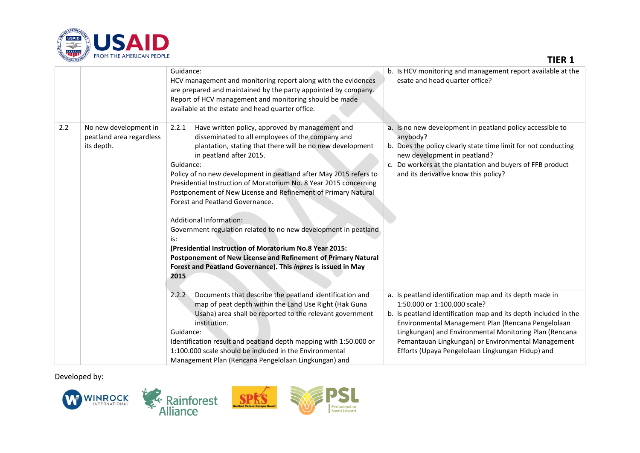

| TONAL DEVEL<br><b>TROPE THE APIENICATY FEOFLE</b> |                                                                 |                                                                                                                                                                                                                                                                                                                                                                                                                                                                                                                                                                                                                                                                                                                                                                                  | <b>TIER 1</b>                                                                                                                                                                                                                                                                                                                                                                        |  |
|---------------------------------------------------|-----------------------------------------------------------------|----------------------------------------------------------------------------------------------------------------------------------------------------------------------------------------------------------------------------------------------------------------------------------------------------------------------------------------------------------------------------------------------------------------------------------------------------------------------------------------------------------------------------------------------------------------------------------------------------------------------------------------------------------------------------------------------------------------------------------------------------------------------------------|--------------------------------------------------------------------------------------------------------------------------------------------------------------------------------------------------------------------------------------------------------------------------------------------------------------------------------------------------------------------------------------|--|
|                                                   |                                                                 | Guidance:<br>HCV management and monitoring report along with the evidences<br>are prepared and maintained by the party appointed by company.<br>Report of HCV management and monitoring should be made<br>available at the estate and head quarter office.                                                                                                                                                                                                                                                                                                                                                                                                                                                                                                                       | b. Is HCV monitoring and management report available at the<br>esate and head quarter office?                                                                                                                                                                                                                                                                                        |  |
| 2.2                                               | No new development in<br>peatland area regardless<br>its depth. | Have written policy, approved by management and<br>2.2.1<br>disseminated to all employees of the company and<br>plantation, stating that there will be no new development<br>in peatland after 2015.<br>Guidance:<br>Policy of no new development in peatland after May 2015 refers to<br>Presidential Instruction of Moratorium No. 8 Year 2015 concerning<br>Postponement of New License and Refinement of Primary Natural<br>Forest and Peatland Governance.<br><b>Additional Information:</b><br>Government regulation related to no new development in peatland<br>is:<br>(Presidential Instruction of Moratorium No.8 Year 2015:<br>Postponement of New License and Refinement of Primary Natural<br>Forest and Peatland Governance). This inpres is issued in May<br>2015 | a. Is no new development in peatland policy accessible to<br>anybody?<br>b. Does the policy clearly state time limit for not conducting<br>new development in peatland?<br>c. Do workers at the plantation and buyers of FFB product<br>and its derivative know this policy?                                                                                                         |  |
|                                                   |                                                                 | Documents that describe the peatland identification and<br>2.2.2<br>map of peat depth within the Land Use Right (Hak Guna<br>Usaha) area shall be reported to the relevant government<br>institution.<br>Guidance:<br>Identification result and peatland depth mapping with 1:50.000 or<br>1:100.000 scale should be included in the Environmental<br>Management Plan (Rencana Pengelolaan Lingkungan) and                                                                                                                                                                                                                                                                                                                                                                       | a. Is peatland identification map and its depth made in<br>1:50.000 or 1:100.000 scale?<br>b. Is peatland identification map and its depth included in the<br>Environmental Management Plan (Rencana Pengelolaan<br>Lingkungan) and Environmental Monitoring Plan (Rencana<br>Pemantauan Lingkungan) or Environmental Management<br>Efforts (Upaya Pengelolaan Lingkungan Hidup) and |  |

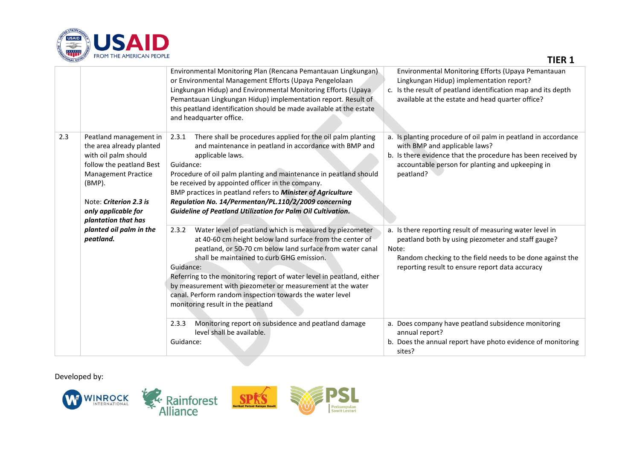

| TONAL DEVEL | <b>TROPE LAPEAPLAN FEOFLE</b>                                                                                                                                                                                          |                                                                                                                                                                                                                                                                                                                                                                                                                                                                                                                                                                                          | <b>TIER 1</b>                                                                                                                                                                                                                                                                                                    |
|-------------|------------------------------------------------------------------------------------------------------------------------------------------------------------------------------------------------------------------------|------------------------------------------------------------------------------------------------------------------------------------------------------------------------------------------------------------------------------------------------------------------------------------------------------------------------------------------------------------------------------------------------------------------------------------------------------------------------------------------------------------------------------------------------------------------------------------------|------------------------------------------------------------------------------------------------------------------------------------------------------------------------------------------------------------------------------------------------------------------------------------------------------------------|
|             |                                                                                                                                                                                                                        | Environmental Monitoring Plan (Rencana Pemantauan Lingkungan)<br>or Environmental Management Efforts (Upaya Pengelolaan<br>Lingkungan Hidup) and Environmental Monitoring Efforts (Upaya<br>Pemantauan Lingkungan Hidup) implementation report. Result of<br>this peatland identification should be made available at the estate<br>and headquarter office.                                                                                                                                                                                                                              | Environmental Monitoring Efforts (Upaya Pemantauan<br>Lingkungan Hidup) implementation report?<br>c. Is the result of peatland identification map and its depth<br>available at the estate and head quarter office?                                                                                              |
| 2.3         | Peatland management in<br>the area already planted<br>with oil palm should<br>follow the peatland Best<br><b>Management Practice</b><br>(BMP).<br>Note: Criterion 2.3 is<br>only applicable for<br>plantation that has | There shall be procedures applied for the oil palm planting<br>2.3.1<br>and maintenance in peatland in accordance with BMP and<br>applicable laws.<br>Guidance:<br>Procedure of oil palm planting and maintenance in peatland should<br>be received by appointed officer in the company.<br>BMP practices in peatland refers to Minister of Agriculture<br>Regulation No. 14/Permentan/PL.110/2/2009 concerning<br><b>Guideline of Peatland Utilization for Palm Oil Cultivation.</b>                                                                                                    | a. Is planting procedure of oil palm in peatland in accordance<br>with BMP and applicable laws?<br>b. Is there evidence that the procedure has been received by<br>accountable person for planting and upkeeping in<br>peatland?                                                                                 |
|             | planted oil palm in the<br>peatland.                                                                                                                                                                                   | Water level of peatland which is measured by piezometer<br>2.3.2<br>at 40-60 cm height below land surface from the center of<br>peatland, or 50-70 cm below land surface from water canal<br>shall be maintained to curb GHG emission.<br>Guidance:<br>Referring to the monitoring report of water level in peatland, either<br>by measurement with piezometer or measurement at the water<br>canal. Perform random inspection towards the water level<br>monitoring result in the peatland<br>Monitoring report on subsidence and peatland damage<br>2.3.3<br>level shall be available. | a. Is there reporting result of measuring water level in<br>peatland both by using piezometer and staff gauge?<br>Note:<br>Random checking to the field needs to be done against the<br>reporting result to ensure report data accuracy<br>a. Does company have peatland subsidence monitoring<br>annual report? |
|             |                                                                                                                                                                                                                        | Guidance:                                                                                                                                                                                                                                                                                                                                                                                                                                                                                                                                                                                | b. Does the annual report have photo evidence of monitoring<br>sites?                                                                                                                                                                                                                                            |

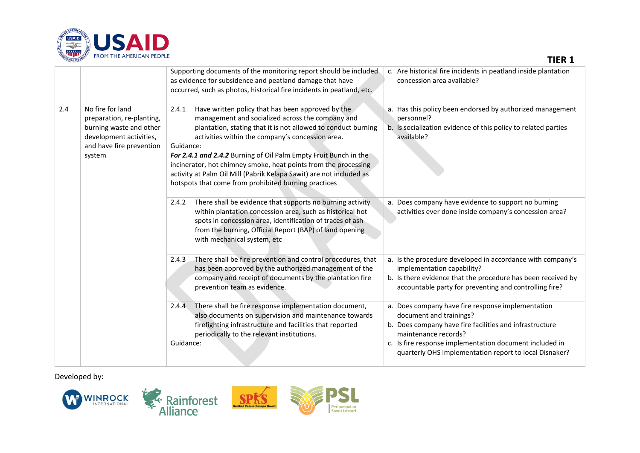

| <b>TIONAL DEVEL</b><br><b>TROPE LEE APIENICATE FEOFLE</b> |                                                                                                                                           |                                                                                                                                                                                                                                                                                                                                                                                                                                                                                                                        | <b>TIER 1</b>                                                                                                                                                                                                                                                                        |  |
|-----------------------------------------------------------|-------------------------------------------------------------------------------------------------------------------------------------------|------------------------------------------------------------------------------------------------------------------------------------------------------------------------------------------------------------------------------------------------------------------------------------------------------------------------------------------------------------------------------------------------------------------------------------------------------------------------------------------------------------------------|--------------------------------------------------------------------------------------------------------------------------------------------------------------------------------------------------------------------------------------------------------------------------------------|--|
|                                                           |                                                                                                                                           | Supporting documents of the monitoring report should be included<br>as evidence for subsidence and peatland damage that have<br>occurred, such as photos, historical fire incidents in peatland, etc.                                                                                                                                                                                                                                                                                                                  | c. Are historical fire incidents in peatland inside plantation<br>concession area available?                                                                                                                                                                                         |  |
| 2.4                                                       | No fire for land<br>preparation, re-planting,<br>burning waste and other<br>development activities,<br>and have fire prevention<br>system | Have written policy that has been approved by the<br>2.4.1<br>management and socialized across the company and<br>plantation, stating that it is not allowed to conduct burning<br>activities within the company's concession area.<br>Guidance:<br>For 2.4.1 and 2.4.2 Burning of Oil Palm Empty Fruit Bunch in the<br>incinerator, hot chimney smoke, heat points from the processing<br>activity at Palm Oil Mill (Pabrik Kelapa Sawit) are not included as<br>hotspots that come from prohibited burning practices | a. Has this policy been endorsed by authorized management<br>personnel?<br>b. Is socialization evidence of this policy to related parties<br>available?                                                                                                                              |  |
|                                                           |                                                                                                                                           | There shall be evidence that supports no burning activity<br>2.4.2<br>within plantation concession area, such as historical hot<br>spots in concession area, identification of traces of ash<br>from the burning, Official Report (BAP) of land opening<br>with mechanical system, etc                                                                                                                                                                                                                                 | a. Does company have evidence to support no burning<br>activities ever done inside company's concession area?                                                                                                                                                                        |  |
|                                                           |                                                                                                                                           | There shall be fire prevention and control procedures, that<br>2.4.3<br>has been approved by the authorized management of the<br>company and receipt of documents by the plantation fire<br>prevention team as evidence.                                                                                                                                                                                                                                                                                               | a. Is the procedure developed in accordance with company's<br>implementation capability?<br>b. Is there evidence that the procedure has been received by<br>accountable party for preventing and controlling fire?                                                                   |  |
|                                                           |                                                                                                                                           | There shall be fire response implementation document,<br>2.4.4<br>also documents on supervision and maintenance towards<br>firefighting infrastructure and facilities that reported<br>periodically to the relevant institutions.<br>Guidance:                                                                                                                                                                                                                                                                         | a. Does company have fire response implementation<br>document and trainings?<br>b. Does company have fire facilities and infrastructure<br>maintenance records?<br>c. Is fire response implementation document included in<br>quarterly OHS implementation report to local Disnaker? |  |

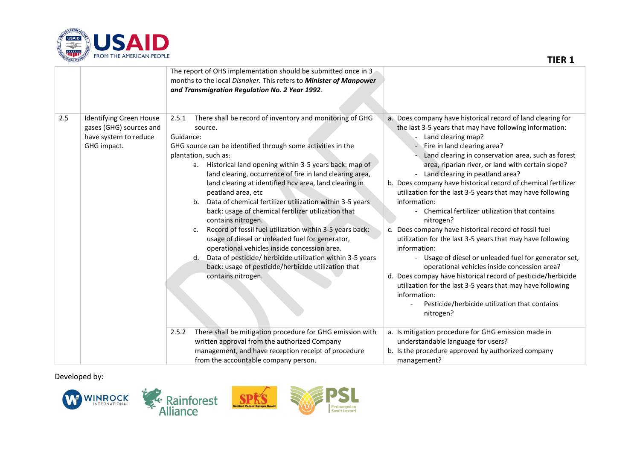

| TIONAL DEVEL | <b>TROPE LAPEAPLAN FEOFLE</b>                                                              |                                                                                                                                                                                                                                                                                                                                                                                                                                                                                                                                                                                                                                                                                                                                                                                                                                                              | <b>TIER 1</b>                                                                                                                                                                                                                                                                                                                                                                                                                                                                                                                                                                                                                                                                                                                                                                                                                                                                                                                                                                                                        |
|--------------|--------------------------------------------------------------------------------------------|--------------------------------------------------------------------------------------------------------------------------------------------------------------------------------------------------------------------------------------------------------------------------------------------------------------------------------------------------------------------------------------------------------------------------------------------------------------------------------------------------------------------------------------------------------------------------------------------------------------------------------------------------------------------------------------------------------------------------------------------------------------------------------------------------------------------------------------------------------------|----------------------------------------------------------------------------------------------------------------------------------------------------------------------------------------------------------------------------------------------------------------------------------------------------------------------------------------------------------------------------------------------------------------------------------------------------------------------------------------------------------------------------------------------------------------------------------------------------------------------------------------------------------------------------------------------------------------------------------------------------------------------------------------------------------------------------------------------------------------------------------------------------------------------------------------------------------------------------------------------------------------------|
|              |                                                                                            | The report of OHS implementation should be submitted once in 3<br>months to the local Disnaker. This refers to Minister of Manpower<br>and Transmigration Regulation No. 2 Year 1992.                                                                                                                                                                                                                                                                                                                                                                                                                                                                                                                                                                                                                                                                        |                                                                                                                                                                                                                                                                                                                                                                                                                                                                                                                                                                                                                                                                                                                                                                                                                                                                                                                                                                                                                      |
| 2.5          | Identifying Green House<br>gases (GHG) sources and<br>have system to reduce<br>GHG impact. | There shall be record of inventory and monitoring of GHG<br>2.5.1<br>source.<br>Guidance:<br>GHG source can be identified through some activities in the<br>plantation, such as:<br>a. Historical land opening within 3-5 years back: map of<br>land clearing, occurrence of fire in land clearing area,<br>land clearing at identified hcv area, land clearing in<br>peatland area, etc<br>Data of chemical fertilizer utilization within 3-5 years<br>b.<br>back: usage of chemical fertilizer utilization that<br>contains nitrogen.<br>Record of fossil fuel utilization within 3-5 years back:<br>c.<br>usage of diesel or unleaded fuel for generator,<br>operational vehicles inside concession area.<br>Data of pesticide/ herbicide utilization within 3-5 years<br>d.<br>back: usage of pesticide/herbicide utilization that<br>contains nitrogen. | a. Does company have historical record of land clearing for<br>the last 3-5 years that may have following information:<br>Land clearing map?<br>- Fire in land clearing area?<br>Land clearing in conservation area, such as forest<br>area, riparian river, or land with certain slope?<br>- Land clearing in peatland area?<br>b. Does company have historical record of chemical fertilizer<br>utilization for the last 3-5 years that may have following<br>information:<br>- Chemical fertilizer utilization that contains<br>nitrogen?<br>Does company have historical record of fossil fuel<br>$C_{\star}$<br>utilization for the last 3-5 years that may have following<br>information:<br>- Usage of diesel or unleaded fuel for generator set,<br>operational vehicles inside concession area?<br>d. Does compay have historical record of pesticide/herbicide<br>utilization for the last 3-5 years that may have following<br>information:<br>Pesticide/herbicide utilization that contains<br>nitrogen? |
|              |                                                                                            | There shall be mitigation procedure for GHG emission with<br>2.5.2<br>written approval from the authorized Company<br>management, and have reception receipt of procedure<br>from the accountable company person.                                                                                                                                                                                                                                                                                                                                                                                                                                                                                                                                                                                                                                            | a. Is mitigation procedure for GHG emission made in<br>understandable language for users?<br>b. Is the procedure approved by authorized company<br>management?                                                                                                                                                                                                                                                                                                                                                                                                                                                                                                                                                                                                                                                                                                                                                                                                                                                       |

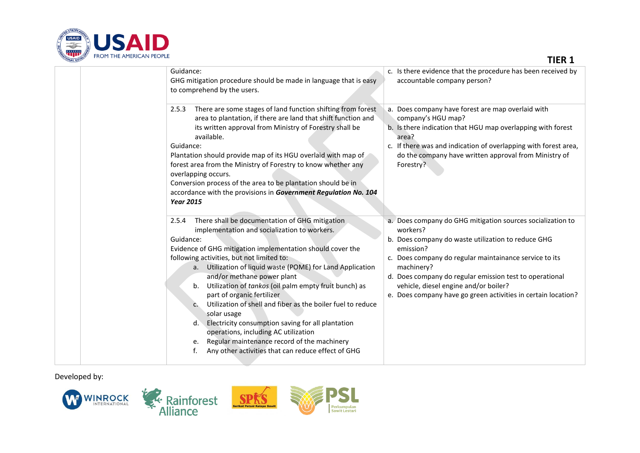

| <b>ATIONAL DEVEL</b><br><b>TROPE LAPEAPLAN FEOFLE</b> |                                                                                                                                                                                                                                                                                                                                                                                                                                                                                                                                                                                                                                                                                                                            | <b>TIER 1</b>                                                                                                                                                                                                                                                                                                                                                                          |  |
|-------------------------------------------------------|----------------------------------------------------------------------------------------------------------------------------------------------------------------------------------------------------------------------------------------------------------------------------------------------------------------------------------------------------------------------------------------------------------------------------------------------------------------------------------------------------------------------------------------------------------------------------------------------------------------------------------------------------------------------------------------------------------------------------|----------------------------------------------------------------------------------------------------------------------------------------------------------------------------------------------------------------------------------------------------------------------------------------------------------------------------------------------------------------------------------------|--|
|                                                       | Guidance:<br>GHG mitigation procedure should be made in language that is easy<br>to comprehend by the users.                                                                                                                                                                                                                                                                                                                                                                                                                                                                                                                                                                                                               | c. Is there evidence that the procedure has been received by<br>accountable company person?                                                                                                                                                                                                                                                                                            |  |
|                                                       | There are some stages of land function shifting from forest<br>2.5.3<br>area to plantation, if there are land that shift function and<br>its written approval from Ministry of Forestry shall be<br>available.<br>Guidance:<br>Plantation should provide map of its HGU overlaid with map of<br>forest area from the Ministry of Forestry to know whether any<br>overlapping occurs.<br>Conversion process of the area to be plantation should be in<br>accordance with the provisions in Government Regulation No. 104<br><b>Year 2015</b>                                                                                                                                                                                | a. Does company have forest are map overlaid with<br>company's HGU map?<br>b. Is there indication that HGU map overlapping with forest<br>area?<br>c. If there was and indication of overlapping with forest area,<br>do the company have written approval from Ministry of<br>Forestry?                                                                                               |  |
|                                                       | There shall be documentation of GHG mitigation<br>2.5.4<br>implementation and socialization to workers.<br>Guidance:<br>Evidence of GHG mitigation implementation should cover the<br>following activities, but not limited to:<br>a. Utilization of liquid waste (POME) for Land Application<br>and/or methane power plant<br>Utilization of tankos (oil palm empty fruit bunch) as<br>b.<br>part of organic fertilizer<br>Utilization of shell and fiber as the boiler fuel to reduce<br>C.<br>solar usage<br>Electricity consumption saving for all plantation<br>d.<br>operations, including AC utilization<br>Regular maintenance record of the machinery<br>е.<br>Any other activities that can reduce effect of GHG | a. Does company do GHG mitigation sources socialization to<br>workers?<br>b. Does company do waste utilization to reduce GHG<br>emission?<br>c. Does company do regular maintainance service to its<br>machinery?<br>d. Does company do regular emission test to operational<br>vehicle, diesel engine and/or boiler?<br>e. Does company have go green activities in certain location? |  |

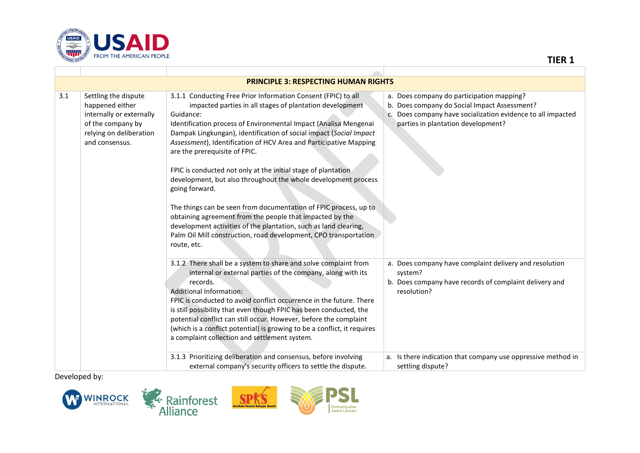

|     | <b>PRINCIPLE 3: RESPECTING HUMAN RIGHTS</b>                                                                                           |                                                                                                                                                                                                                                                                                                                                                                                                                                                                                                                                                                                                                                                                                                                                                                                                                                    |                                                                                                                                                                                                |  |
|-----|---------------------------------------------------------------------------------------------------------------------------------------|------------------------------------------------------------------------------------------------------------------------------------------------------------------------------------------------------------------------------------------------------------------------------------------------------------------------------------------------------------------------------------------------------------------------------------------------------------------------------------------------------------------------------------------------------------------------------------------------------------------------------------------------------------------------------------------------------------------------------------------------------------------------------------------------------------------------------------|------------------------------------------------------------------------------------------------------------------------------------------------------------------------------------------------|--|
| 3.1 | Settling the dispute<br>happened either<br>internally or externally<br>of the company by<br>relying on deliberation<br>and consensus. | 3.1.1 Conducting Free Prior Information Consent (FPIC) to all<br>impacted parties in all stages of plantation development<br>Guidance:<br>Identification process of Environmental Impact (Analisa Mengenai<br>Dampak Lingkungan), identification of social impact (Social Impact<br>Assessment), Identification of HCV Area and Participative Mapping<br>are the prerequisite of FPIC.<br>FPIC is conducted not only at the initial stage of plantation<br>development, but also throughout the whole development process<br>going forward.<br>The things can be seen from documentation of FPIC process, up to<br>obtaining agreement from the people that impacted by the<br>development activities of the plantation, such as land clearing,<br>Palm Oil Mill construction, road development, CPO transportation<br>route, etc. | a. Does company do participation mapping?<br>b. Does company do Social Impact Assessment?<br>c. Does company have socialization evidence to all impacted<br>parties in plantation development? |  |
|     |                                                                                                                                       | 3.1.2 There shall be a system to share and solve complaint from<br>internal or external parties of the company, along with its<br>records.<br>Additional Information:<br>FPIC is conducted to avoid conflict occurrence in the future. There<br>is still possibility that even though FPIC has been conducted, the<br>potential conflict can still occur. However, before the complaint<br>(which is a conflict potential) is growing to be a conflict, it requires<br>a complaint collection and settlement system.                                                                                                                                                                                                                                                                                                               | a. Does company have complaint delivery and resolution<br>system?<br>b. Does company have records of complaint delivery and<br>resolution?                                                     |  |
|     |                                                                                                                                       | 3.1.3 Prioritizing deliberation and consensus, before involving<br>external company's security officers to settle the dispute.                                                                                                                                                                                                                                                                                                                                                                                                                                                                                                                                                                                                                                                                                                     | a. Is there indication that company use oppressive method in<br>settling dispute?                                                                                                              |  |

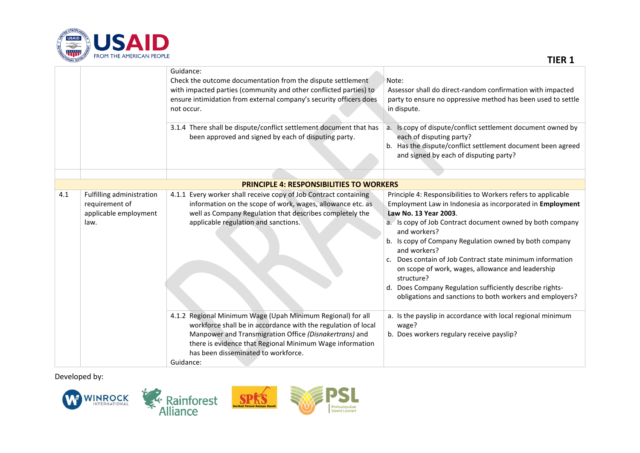

Guidance: Check the outcome documentation from the dispute settlement with impacted parties (community and other conflicted parties) to ensure intimidation from external company's security officers does not occur. Note: Assessor shall do direct-random confirmation with impacted party to ensure no oppressive method has been used to settle in dispute. 3.1.4 There shall be dispute/conflict settlement document that has been approved and signed by each of disputing party. a. Is copy of dispute/conflict settlement document owned by each of disputing party? b. Has the dispute/conflict settlement document been agreed and signed by each of disputing party? **PRINCIPLE 4: RESPONSIBILITIES TO WORKERS** 4.1 Fulfilling administration requirement of applicable employment law. 4.1.1 Every worker shall receive copy of Job Contract containing information on the scope of work, wages, allowance etc. as well as Company Regulation that describes completely the applicable regulation and sanctions. Principle 4: Responsibilities to Workers refers to applicable Employment Law in Indonesia as incorporated in **Employment Law No. 13 Year 2003**. a. Is copy of Job Contract document owned by both company and workers? b. Is copy of Company Regulation owned by both company and workers? c. Does contain of Job Contract state minimum information on scope of work, wages, allowance and leadership structure? d. Does Company Regulation sufficiently describe rightsobligations and sanctions to both workers and employers? 4.1.2 Regional Minimum Wage (Upah Minimum Regional) for all workforce shall be in accordance with the regulation of local Manpower and Transmigration Office *(Disnakertrans)* and there is evidence that Regional Minimum Wage information has been disseminated to workforce. Guidance: a. Is the payslip in accordance with local regional minimum wage? b. Does workers regulary receive payslip?

Developed by:



**TIER 1**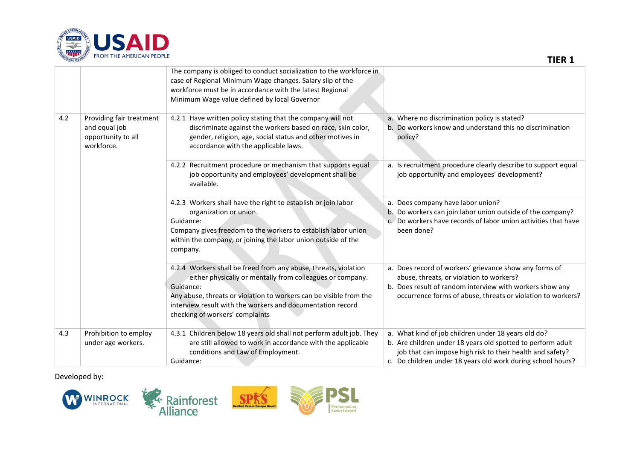

|     |                                                                               | The company is obliged to conduct socialization to the workforce in<br>case of Regional Minimum Wage changes. Salary slip of the<br>workforce must be in accordance with the latest Regional<br>Minimum Wage value defined by local Governor                                                                     |                                                                                                                                                                                                                                                |
|-----|-------------------------------------------------------------------------------|------------------------------------------------------------------------------------------------------------------------------------------------------------------------------------------------------------------------------------------------------------------------------------------------------------------|------------------------------------------------------------------------------------------------------------------------------------------------------------------------------------------------------------------------------------------------|
| 4.2 | Providing fair treatment<br>and equal job<br>opportunity to all<br>workforce. | 4.2.1 Have written policy stating that the company will not<br>discriminate against the workers based on race, skin color,<br>gender, religion, age, social status and other motives in<br>accordance with the applicable laws.                                                                                  | a. Where no discrimination policy is stated?<br>b. Do workers know and understand this no discrimination<br>policy?                                                                                                                            |
|     |                                                                               | 4.2.2 Recruitment procedure or mechanism that supports equal<br>job opportunity and employees' development shall be<br>available.                                                                                                                                                                                | a. Is recruitment procedure clearly describe to support equal<br>job opportunity and employees' development?                                                                                                                                   |
|     |                                                                               | 4.2.3 Workers shall have the right to establish or join labor<br>organization or union.<br>Guidance:<br>Company gives freedom to the workers to establish labor union<br>within the company, or joining the labor union outside of the<br>company.                                                               | a. Does company have labor union?<br>b. Do workers can join labor union outside of the company?<br>c. Do workers have records of labor union activities that have<br>been done?                                                                |
|     |                                                                               | 4.2.4 Workers shall be freed from any abuse, threats, violation<br>either physically or mentally from colleagues or company.<br>Guidance:<br>Any abuse, threats or violation to workers can be visible from the<br>interview result with the workers and documentation record<br>checking of workers' complaints | a. Does record of workers' grievance show any forms of<br>abuse, threats, or violation to workers?<br>b. Does result of random interview with workers show any<br>occurrence forms of abuse, threats or violation to workers?                  |
| 4.3 | Prohibition to employ<br>under age workers.                                   | 4.3.1 Children below 18 years old shall not perform adult job. They<br>are still allowed to work in accordance with the applicable<br>conditions and Law of Employment.<br>Guidance:                                                                                                                             | a. What kind of job children under 18 years old do?<br>b. Are children under 18 years old spotted to perform adult<br>job that can impose high risk to their health and safety?<br>c. Do children under 18 years old work during school hours? |

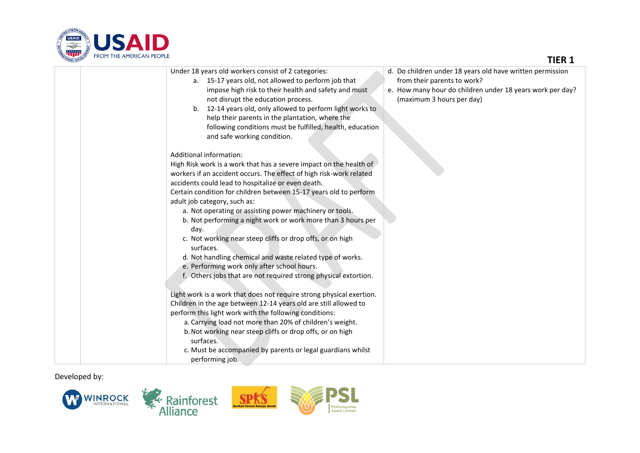

## **TIER 1**

| Under 18 years old workers consist of 2 categories:                  | d. Do children under 18 years old have written permission |
|----------------------------------------------------------------------|-----------------------------------------------------------|
| a. 15-17 years old, not allowed to perform job that                  | from their parents to work?                               |
| impose high risk to their health and safety and must                 | e. How many hour do children under 18 years work per day? |
| not disrupt the education process.                                   | (maximum 3 hours per day)                                 |
| b. 12-14 years old, only allowed to perform light works to           |                                                           |
| help their parents in the plantation, where the                      |                                                           |
| following conditions must be fulfilled, health, education            |                                                           |
| and safe working condition.                                          |                                                           |
|                                                                      |                                                           |
| Additional information:                                              |                                                           |
| High Risk work is a work that has a severe impact on the health of   |                                                           |
| workers if an accident occurs. The effect of high risk-work related  |                                                           |
| accidents could lead to hospitalize or even death.                   |                                                           |
| Certain condition for children between 15-17 years old to perform    |                                                           |
| adult job category, such as:                                         |                                                           |
| a. Not operating or assisting power machinery or tools.              |                                                           |
| b. Not performing a night work or work more than 3 hours per         |                                                           |
| day.                                                                 |                                                           |
| c. Not working near steep cliffs or drop offs, or on high            |                                                           |
| surfaces.                                                            |                                                           |
| d. Not handling chemical and waste related type of works.            |                                                           |
| e. Performing work only after school hours.                          |                                                           |
| f. Others jobs that are not required strong physical extortion.      |                                                           |
|                                                                      |                                                           |
| Light work is a work that does not require strong physical exertion. |                                                           |
| Children in the age between 12-14 years old are still allowed to     |                                                           |
| perform this light work with the following conditions:               |                                                           |
| a. Carrying load not more than 20% of children's weight.             |                                                           |
| b. Not working near steep cliffs or drop offs, or on high            |                                                           |
| surfaces.                                                            |                                                           |
| c. Must be accompanied by parents or legal guardians whilst          |                                                           |
| performing job.                                                      |                                                           |

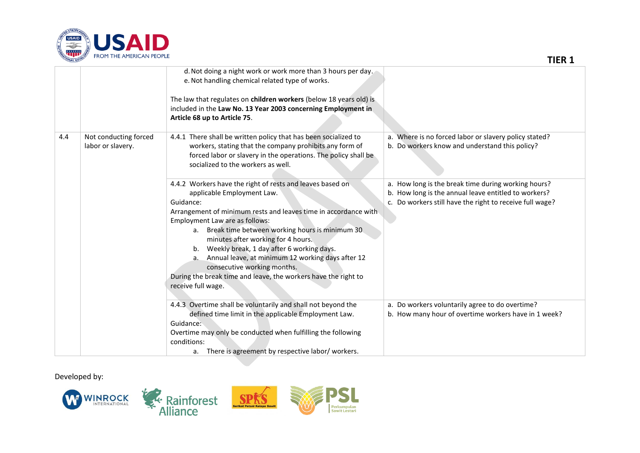

| <b>TONAL DEVEL</b> | <b>FROH THE APENDAN FEOFLE</b>             |                                                                                                                                                                                                                                                                                                                                                                                                                                                                                                                                           | <b>TIER 1</b>                                                                                                                                                                         |
|--------------------|--------------------------------------------|-------------------------------------------------------------------------------------------------------------------------------------------------------------------------------------------------------------------------------------------------------------------------------------------------------------------------------------------------------------------------------------------------------------------------------------------------------------------------------------------------------------------------------------------|---------------------------------------------------------------------------------------------------------------------------------------------------------------------------------------|
|                    |                                            | d. Not doing a night work or work more than 3 hours per day.<br>e. Not handling chemical related type of works.<br>The law that regulates on children workers (below 18 years old) is<br>included in the Law No. 13 Year 2003 concerning Employment in<br>Article 68 up to Article 75.                                                                                                                                                                                                                                                    |                                                                                                                                                                                       |
| 4.4                | Not conducting forced<br>labor or slavery. | 4.4.1 There shall be written policy that has been socialized to<br>workers, stating that the company prohibits any form of<br>forced labor or slavery in the operations. The policy shall be<br>socialized to the workers as well.                                                                                                                                                                                                                                                                                                        | a. Where is no forced labor or slavery policy stated?<br>b. Do workers know and understand this policy?                                                                               |
|                    |                                            | 4.4.2 Workers have the right of rests and leaves based on<br>applicable Employment Law.<br>Guidance:<br>Arrangement of minimum rests and leaves time in accordance with<br>Employment Law are as follows:<br>Break time between working hours is minimum 30<br>а.<br>minutes after working for 4 hours.<br>b. Weekly break, 1 day after 6 working days.<br>Annual leave, at minimum 12 working days after 12<br>a.<br>consecutive working months.<br>During the break time and leave, the workers have the right to<br>receive full wage. | a. How long is the break time during working hours?<br>b. How long is the annual leave entitled to workers?<br>Do workers still have the right to receive full wage?<br>$C_{\bullet}$ |
|                    |                                            | 4.4.3 Overtime shall be voluntarily and shall not beyond the<br>defined time limit in the applicable Employment Law.<br>Guidance:<br>Overtime may only be conducted when fulfilling the following<br>conditions:<br>a. There is agreement by respective labor/ workers.                                                                                                                                                                                                                                                                   | a. Do workers voluntarily agree to do overtime?<br>b. How many hour of overtime workers have in 1 week?                                                                               |

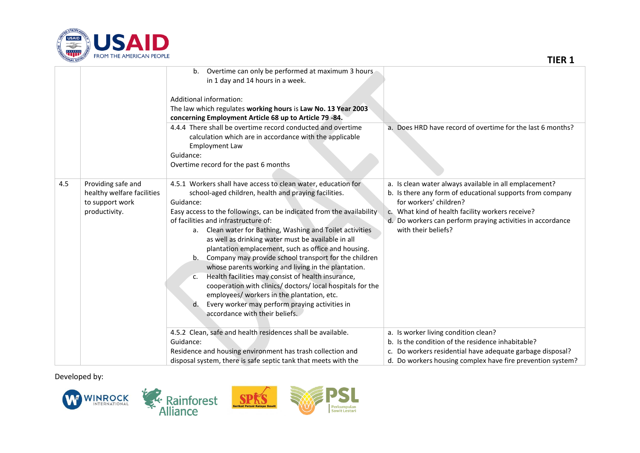

| TIONAL DEVEL<br><b>FROM THE AMERICAN FEOFLE</b> |                                                                                      |                                                                                                                                                                                                                                                                                                                                                                                                                                                                                                                                                                                                                                                                                                                                                                                                                       | <b>TIER 1</b>                                                                                                                                                                                                                                                                          |  |
|-------------------------------------------------|--------------------------------------------------------------------------------------|-----------------------------------------------------------------------------------------------------------------------------------------------------------------------------------------------------------------------------------------------------------------------------------------------------------------------------------------------------------------------------------------------------------------------------------------------------------------------------------------------------------------------------------------------------------------------------------------------------------------------------------------------------------------------------------------------------------------------------------------------------------------------------------------------------------------------|----------------------------------------------------------------------------------------------------------------------------------------------------------------------------------------------------------------------------------------------------------------------------------------|--|
|                                                 |                                                                                      | Overtime can only be performed at maximum 3 hours<br>b.<br>in 1 day and 14 hours in a week.<br>Additional information:<br>The law which regulates working hours is Law No. 13 Year 2003<br>concerning Employment Article 68 up to Article 79-84.                                                                                                                                                                                                                                                                                                                                                                                                                                                                                                                                                                      |                                                                                                                                                                                                                                                                                        |  |
|                                                 |                                                                                      | 4.4.4 There shall be overtime record conducted and overtime<br>calculation which are in accordance with the applicable<br><b>Employment Law</b><br>Guidance:<br>Overtime record for the past 6 months                                                                                                                                                                                                                                                                                                                                                                                                                                                                                                                                                                                                                 | a. Does HRD have record of overtime for the last 6 months?                                                                                                                                                                                                                             |  |
| 4.5                                             | Providing safe and<br>healthy welfare facilities<br>to support work<br>productivity. | 4.5.1 Workers shall have access to clean water, education for<br>school-aged children, health and praying facilities.<br>Guidance:<br>Easy access to the followings, can be indicated from the availability<br>of facilities and infrastructure of:<br>a. Clean water for Bathing, Washing and Toilet activities<br>as well as drinking water must be available in all<br>plantation emplacement, such as office and housing.<br>Company may provide school transport for the children<br>b.<br>whose parents working and living in the plantation.<br>Health facilities may consist of health insurance,<br>c.<br>cooperation with clinics/ doctors/ local hospitals for the<br>employees/ workers in the plantation, etc.<br>Every worker may perform praying activities in<br>d.<br>accordance with their beliefs. | a. Is clean water always available in all emplacement?<br>b. Is there any form of educational supports from company<br>for workers' children?<br>c. What kind of health facility workers receive?<br>d. Do workers can perform praying activities in accordance<br>with their beliefs? |  |
|                                                 |                                                                                      | 4.5.2 Clean, safe and health residences shall be available.<br>Guidance:<br>Residence and housing environment has trash collection and<br>disposal system, there is safe septic tank that meets with the                                                                                                                                                                                                                                                                                                                                                                                                                                                                                                                                                                                                              | a. Is worker living condition clean?<br>b. Is the condition of the residence inhabitable?<br>c. Do workers residential have adequate garbage disposal?<br>d. Do workers housing complex have fire prevention system?                                                                   |  |

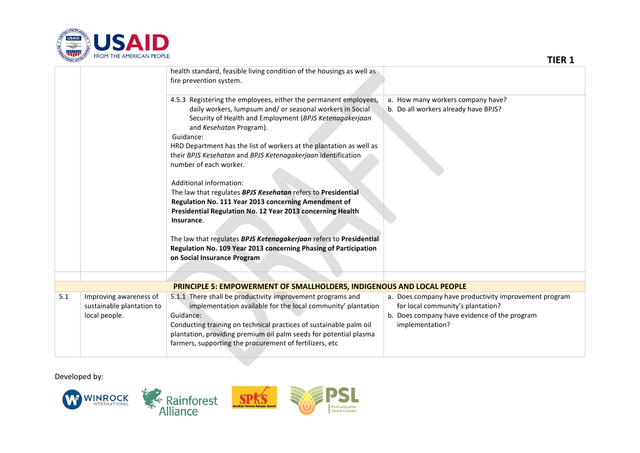

| <b>ATIONAL DEVEL</b><br><b>TNOPE THE APIENIUALY FEUFLE</b> |                                                                      |                                                                                                                                                                                                                                                                                                                                                                                                      | <b>TIER 1</b>                                                                                                                                                 |
|------------------------------------------------------------|----------------------------------------------------------------------|------------------------------------------------------------------------------------------------------------------------------------------------------------------------------------------------------------------------------------------------------------------------------------------------------------------------------------------------------------------------------------------------------|---------------------------------------------------------------------------------------------------------------------------------------------------------------|
|                                                            |                                                                      | health standard, feasible living condition of the housings as well as<br>fire prevention system.                                                                                                                                                                                                                                                                                                     |                                                                                                                                                               |
|                                                            |                                                                      | 4.5.3 Registering the employees, either the permanent employees,<br>daily workers, lumpsum and/ or seasonal workers in Social<br>Security of Health and Employment (BPJS Ketenagakerjaan<br>and Kesehatan Program).<br>Guidance:<br>HRD Department has the list of workers at the plantation as well as<br>their BPJS Kesehatan and BPJS Ketenagakerjaan identification<br>number of each worker.    | a. How many workers company have?<br>b. Do all workers already have BPJS?                                                                                     |
|                                                            |                                                                      | Additional information:<br>The law that regulates BPJS Kesehatan refers to Presidential<br>Regulation No. 111 Year 2013 concerning Amendment of<br>Presidential Regulation No. 12 Year 2013 concerning Health<br>Insurance.<br>The law that regulates BPJS Ketenagakerjaan refers to Presidential<br>Regulation No. 109 Year 2013 concerning Phasing of Participation<br>on Social Insurance Program |                                                                                                                                                               |
|                                                            |                                                                      |                                                                                                                                                                                                                                                                                                                                                                                                      |                                                                                                                                                               |
|                                                            |                                                                      | PRINCIPLE 5: EMPOWERMENT OF SMALLHOLDERS, INDIGENOUS AND LOCAL PEOPLE                                                                                                                                                                                                                                                                                                                                |                                                                                                                                                               |
| 5.1                                                        | Improving awareness of<br>sustainable plantation to<br>local people. | 5.1.1 There shall be productivity improvement programs and<br>implementation available for the local community' plantation<br>Guidance:<br>Conducting training on technical practices of sustainable palm oil<br>plantation, providing premium oil palm seeds for potential plasma<br>farmers, supporting the procurement of fertilizers, etc                                                        | a. Does company have productivity improvement program<br>for local community's plantation?<br>b. Does company have evidence of the program<br>implementation? |